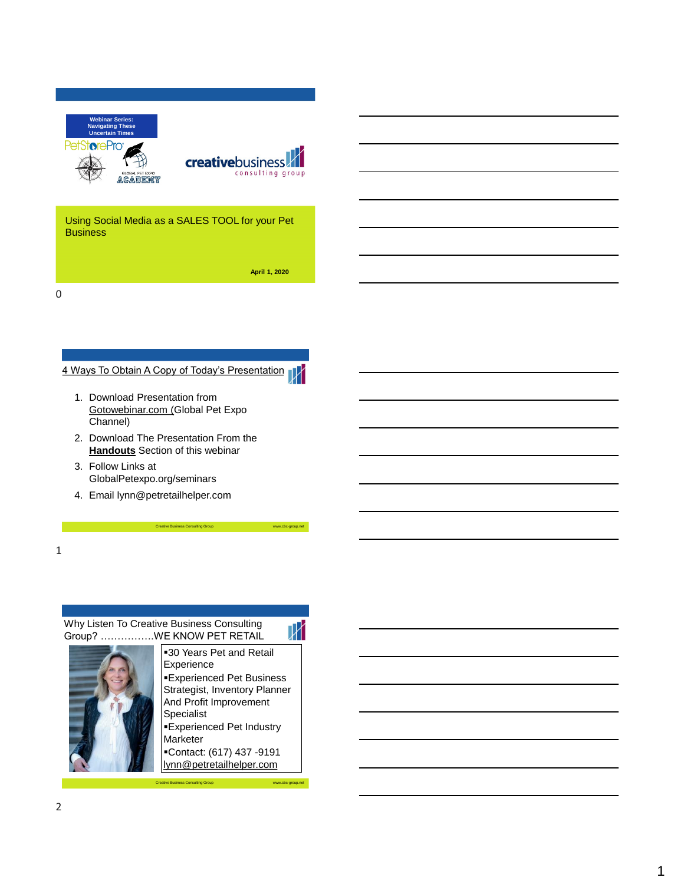



Using Social Media as a SALES TOOL for your Pet **Business** 

**April 1, 2020**

0

# 4 Ways To Obtain A Copy of Today's Presentation



- 2. Download The Presentation From the **Handouts** Section of this webinar
- 3. Follow Links at GlobalPetexpo.org/seminars
- 4. Email lynn@petretailhelper.com

1

# Why Listen To Creative Business Consulting Group? …………….WE KNOW PET RETAIL

 $\mathbb {M}$ **-30 Years Pet and Retail** Experience **Experienced Pet Business** Strategist, Inventory Planner And Profit Improvement Specialist **Experienced Pet Industry** 

Creative Business Consulting Group www.cbc-group.net

Marketer ▪Contact: (617) 437 -9191

Creative Business Consulting Group www.cbc-group.net lynn@petretailhelper.com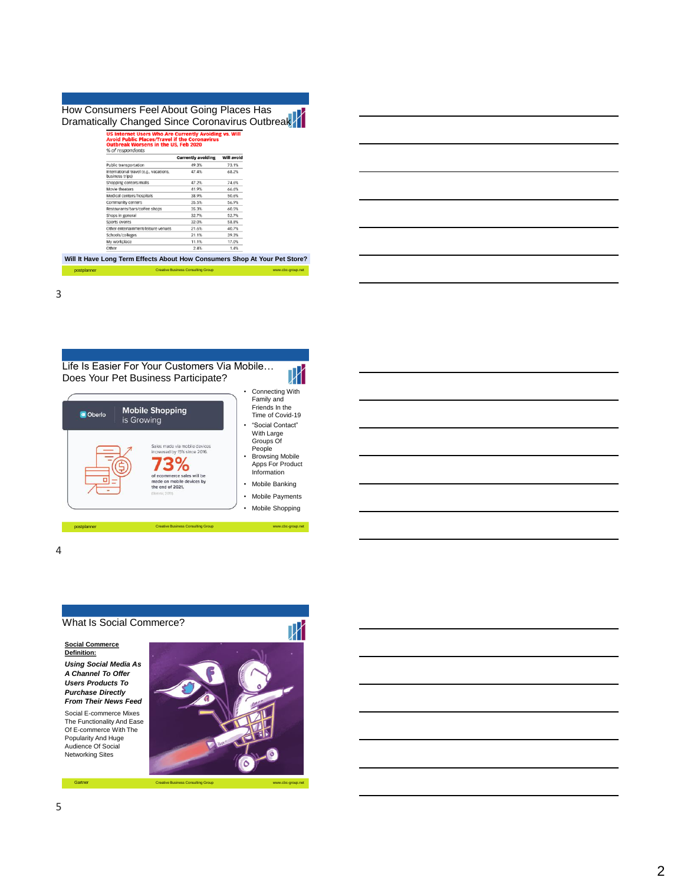#### How Consumers Feel About Going Places Has Dramatically Changed Since Coronavirus Outbreak

|                                                           | <b>Currently avoiding</b> | Will avoid |
|-----------------------------------------------------------|---------------------------|------------|
| Public transportation                                     | 49.3%                     | 73.1%      |
| International travel (e.g., vacations,<br>business trips) | 47.4%                     | 68.2%      |
| Shopping centers/malls                                    | 47.2%                     | 74.6%      |
| Movie theaters                                            | 41.9%                     | 66.6%      |
| Medical centers/hospitals                                 | 38.9%                     | 50.6%      |
| Community centers                                         | 35.5%                     | 56.9%      |
| Restaurants/bars/coffee shops                             | 35.3%                     | 60.5%      |
| Shops in general                                          | 32.7%                     | 52.7%      |
| Sports events                                             | 32.0%                     | 58.8%      |
| Other entertainment/leisure venues                        | 21.6%                     | 40.7%      |
| Schools/colleges                                          | 21.1%                     | 39.3%      |
| My workplace                                              | 11.1%                     | 17.0%      |
| Other                                                     | 2.4%                      | 1.4%       |

#### postive Business Consulting Group **Will It Have Long Term Effects About How Consumers Shop At Your Pet Store?**

3







Gartner Creative Business Consulting Group www.cbc-group.net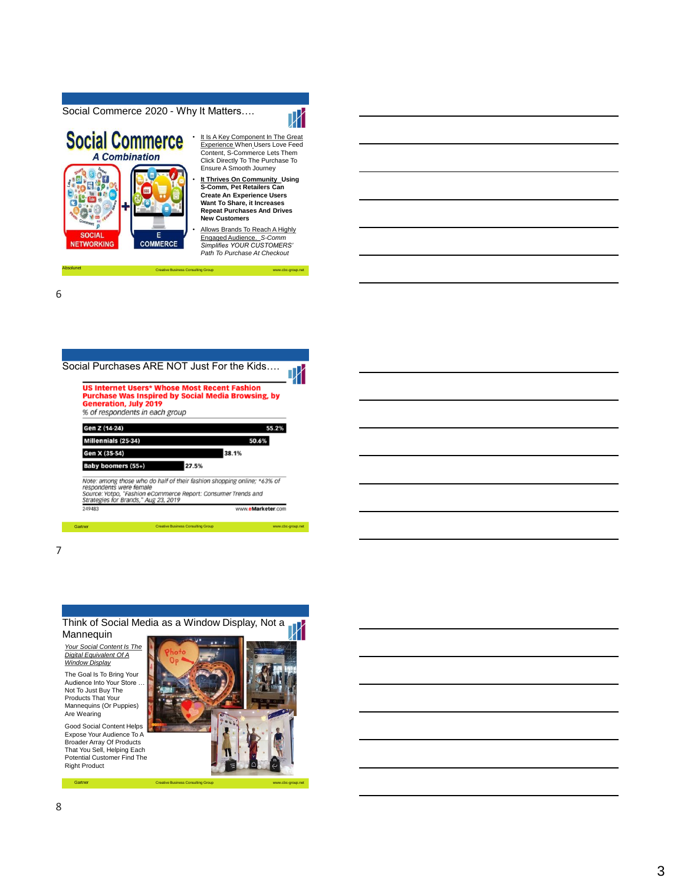Social Commerce 2020 - Why It Matters….



• It Is A Key Component In The Great Experience When Users Love Feed Content, S-Commerce Lets Them Click Directly To The Purchase To Ensure A Smooth Journey

**It Thrives On Community Using S-Comm, Pet Retailers Can Create An Experience Users Want To Share, it Increases Repeat Purchases And Drives New Customers**

• Allows Brands To Reach A Highly Engaged Audience. *S-Comm Simplifies YOUR CUSTOMERS' Path To Purchase At Checkout*

Creative Business Consulting Group www.cbc-group.net

6

7

Absolunet



Think of Social Media as a Window Display, Not a Mannequin

Gartner Creative Business Consulting Group www.cbc-group.net

*Your Social Content Is The Digital Equivalent Of A Window Display* The Goal Is To Bring Your Audience Into Your Store … Not To Just Buy The Products That Your Mannequins (Or Puppies) Are Wearing

Good Social Content Helps Expose Your Audience To A Broader Array Of Products That You Sell, Helping Each Potential Customer Find The Right Product

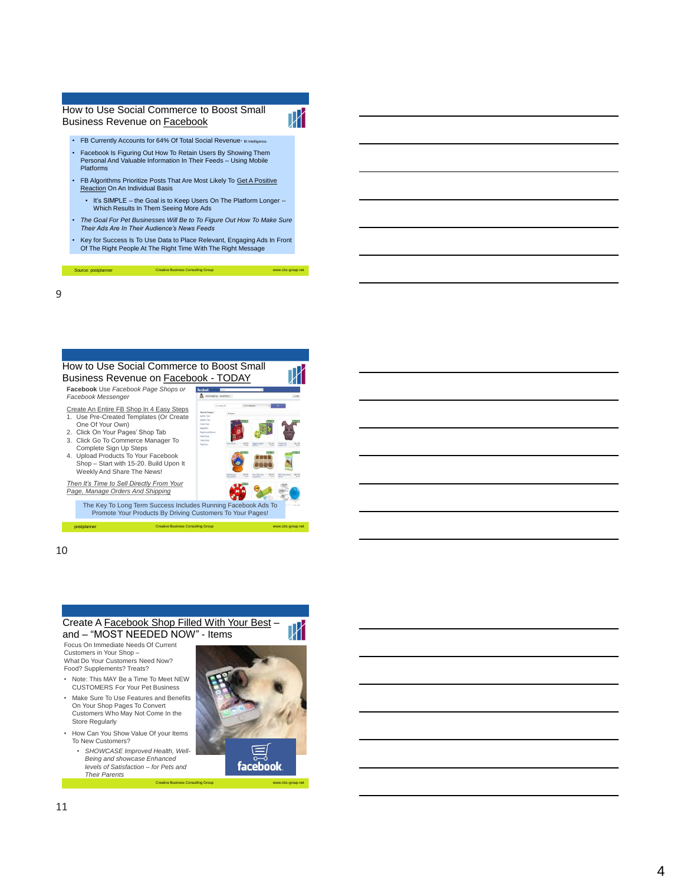# How to Use Social Commerce to Boost Small Business Revenue on Facebook



-group.net

- FB Currently Accounts for 64% Of Total Social Revenue<sup>.</sup> Blin • Facebook Is Figuring Out How To Retain Users By Showing Them
- Personal And Valuable Information In Their Feeds Using Mobile Platforms
- FB Algorithms Prioritize Posts That Are Most Likely To Get A Positive Reaction On An Individual Basis
	- It's SIMPLE the Goal is to Keep Users On The Platform Longer -- Which Results In Them Seeing More Ads
- *The Goal For Pet Businesses Will Be to To Figure Out How To Make Sure Their Ads Are In Their Audience's News Feeds*
- Key for Success Is To Use Data to Place Relevant, Engaging Ads In Front Of The Right People At The Right Time With The Right Message

9

Source: postplanner



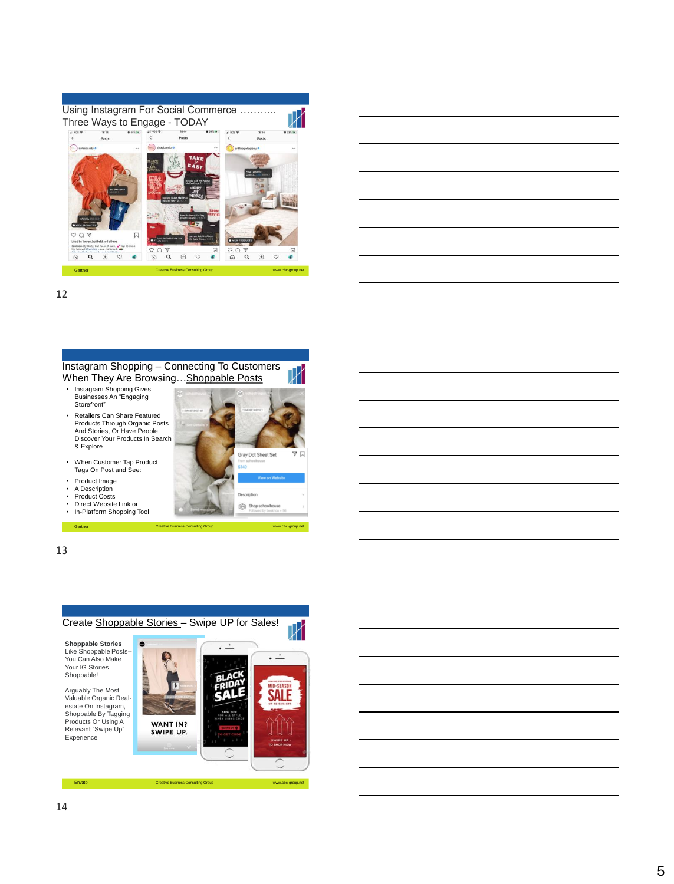



12



Gartner Creative Business Consulting Group www.cbc-group.net



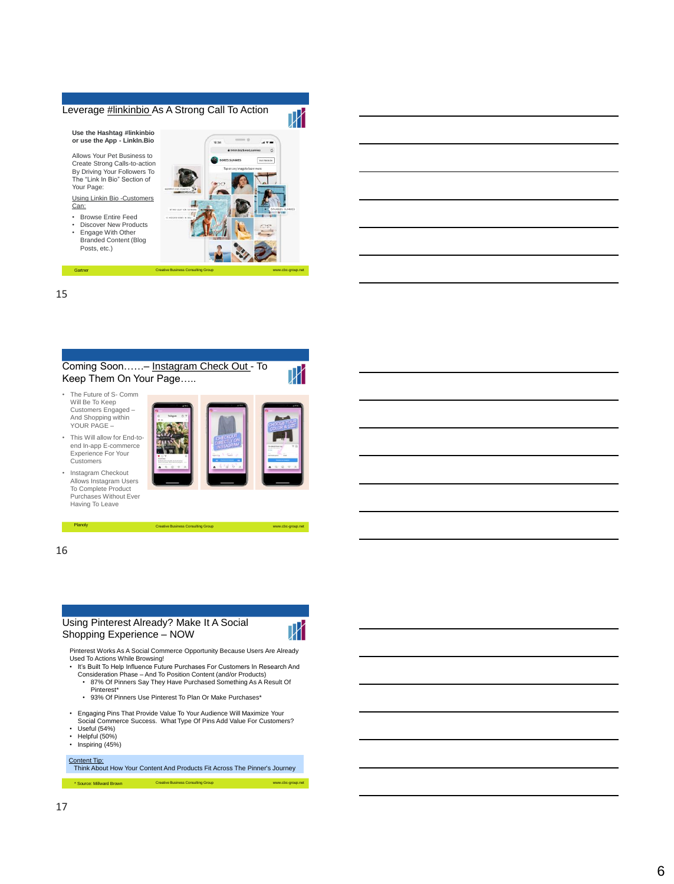# Leverage #linkinbio As A Strong Call To Action



Create Strong Calls -to -action By Driving Your Followers To The "Link In Bio" Section of Your Page:

Using Linkin Bio -Customers Can:

- Browse Entire Feed Discover New Products
- Engage With Other Branded Content (Blog Posts, etc.)



15



16

#### Using Pinterest Already? Make It A Social Shopping Experience – NOW

Planoly Creative Business Consulting Group



-group.net

Pinterest Works As A Social Commerce Opportunity Because Users Are Already Used To Actions While Browsing!<br>• It's Built To Help Influence Future Purchases For Customers In Research And

- Consideration Phase And To Position Content (and/or Products)
	- 87% Of Pinners Say They Have Purchased Something As A Result Of Pinterest\*
	- 93% Of Pinners Use Pinterest To Plan Or Make Purchases\*
- Engaging Pins That Provide Value To Your Audience Will Maximize Your Social Commerce Success. What Type Of Pins Add Value For Customers?
- 
- Useful (54%)<br>• Helpful (50%)
- Inspiring (45%)
- Content Tip:

Think About How Your Content And Products Fit Across The Pinner's Journey

Creative Business Consulting Group www.cbc -group.net \* Source: Millward Brown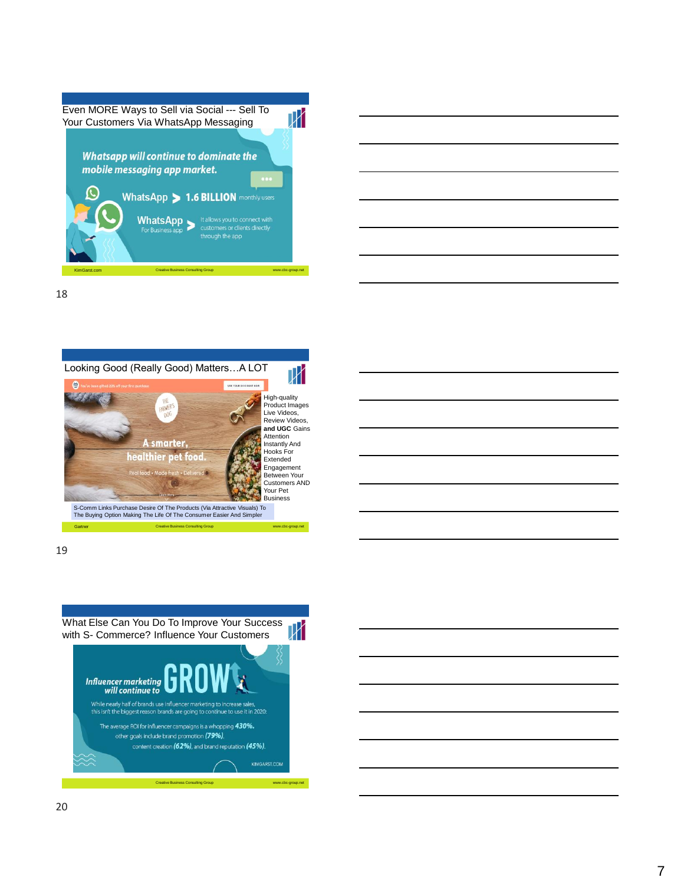



18





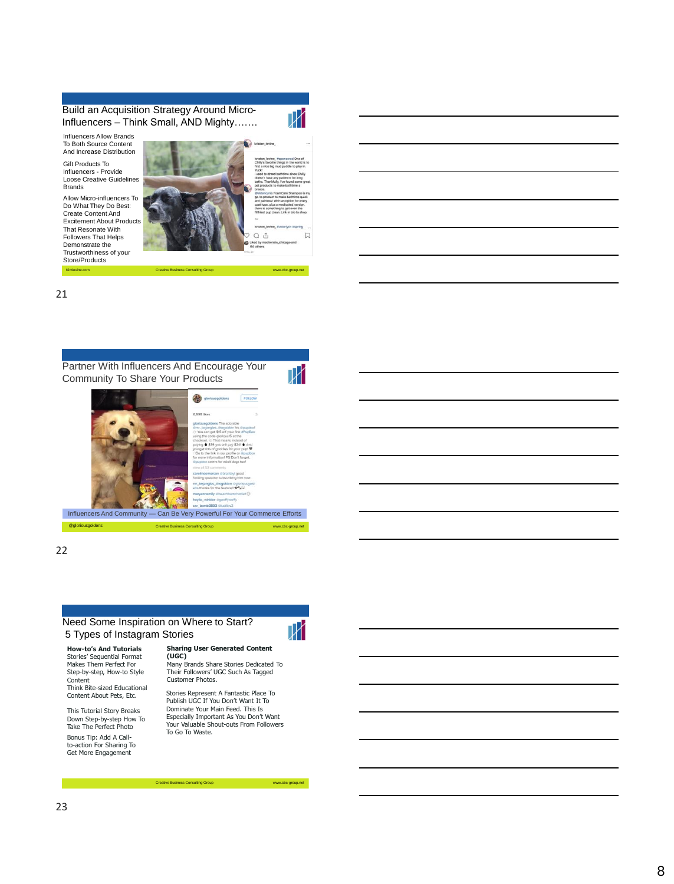Build an Acquisition Strategy Around Micro-Influencers – Think Small, AND Mighty…….

Influencers Allow Brands To Both Source Content And Increase Distribution

Gift Products To Influencers - Provide Loose Creative Guidelines **Brands** Allow Micro-influencers To Do What They Do Best: Create Content And Excitement About Products That Resonate With Followers That Helps Demonstrate the Trustworthiness of your

Store/Products Kimlevine.com

Ж Q ů

Creative Business Consulting Group www.cbc-group.net

 $\Box$ 

21



22

#### Need Some Inspiration on Where to Start? 5 Types of Instagram Stories

**How-to's And Tutorials** Stories' Sequential Format Makes Them Perfect For Step-by-step, How-to Style Content Think Bite-sized Educational Content About Pets, Etc.

This Tutorial Story Breaks Down Step-by-step How To Take The Perfect Photo Bonus Tip: Add A Callto-action For Sharing To Get More Engagement

**Sharing User Generated Content (UGC)**

 $\mathbb {M}$ 

Many Brands Share Stories Dedicated To Their Followers' UGC Such As Tagged Customer Photos.

Stories Represent A Fantastic Place To Publish UGC If You Don't Want It To Dominate Your Main Feed. This Is Especially Important As You Don't Want Your Valuable Shout-outs From Followers To Go To Waste.

Creative Business Consulting Group www.cbc-group.net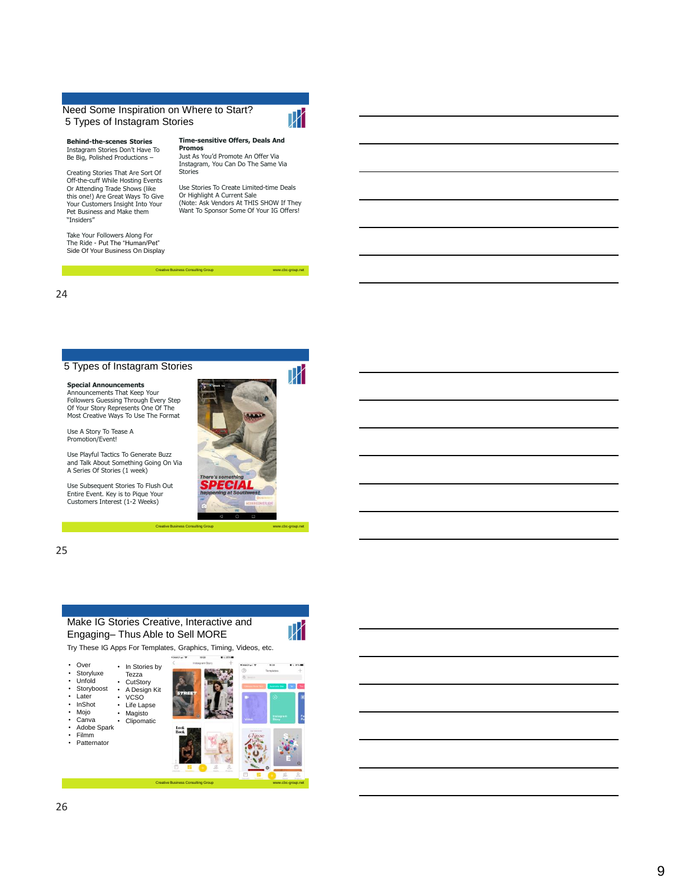#### Need Some Inspiration on Where to Start? 5 Types of Instagram Stories

**Promos**

**Behind -the -scenes Stories** Instagram Stories Don't Have To Be Big, Polished Productions –

Creating Stories That Are Sort Of Off-the -cuff While Hosting Events Or Attending Trade Shows (like this one!) Are Great Ways To Give Your Customers Insight Into Your Pet Business and Make them "Insiders"

Take Your Followers Along For The Ride - Put The "Human/Pet" Side Of Your Business On Display **Time -sensitive Offers, Deals And** 



-group.net

ГX

-group.net

Instagram, You Can Do The Same Via Stories

Creative Business Consulting Group www.cbc www.cbc

Use Stories To Create Limited -time Deals Or Highlight A Current Sale (Note: Ask Vendors At THIS SHOW If They Want To Sponsor Some Of Your IG Offers!

24

#### 5 Types of Instagram Stories

**Special Announcements** Announcements That Keep Your Followers Guessing Through Every Step Of Your Story Represents One Of The Most Creative Ways To Use The Format

Use A Story To Tease A Promotion/Event!

Use Playful Tactics To Generate Buzz and Talk About Something Going On Via A Series Of Stories (1 week)

Use Subsequent Stories To Flush Out Entire Event. Key is to Pique Your Customers Interest (1 -2 Weeks)



Creative Business Consulting Group www.cbc www.cbc

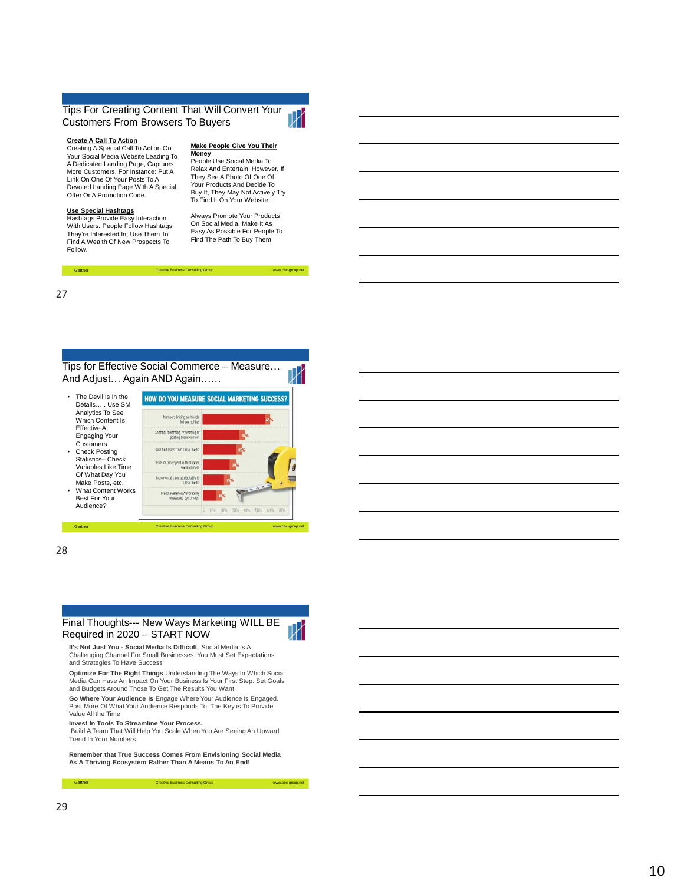#### Tips For Creating Content That Will Convert Your Customers From Browsers To Buyers



**Create A Call To Action** Creating A Special Call To Action On Your Social Media Website Leading To A Dedicated Landing Page, Captures More Customers. For Instance: Put A Link On One Of Your Posts To A Devoted Landing Page With A Special Offer Or A Promotion Code.

#### **Use Special Hashtags**

Hashtags Provide Easy Interaction With Users. People Follow Hashtags They're Interested In; Use Them To Find A Wealth Of New Prospects To Follow.

#### **Make People Give You Their Money**

**People Use Social Media To** Relax And Entertain. However, If They See A Photo Of One Of Your Products And Decide To Buy It, They May Not Actively Try To Find It On Your Website.

Always Promote Your Products On Social Media, Make It As Easy As Possible For People To Find The Path To Buy Them

-group.net

Т

27

Tips for Effective Social Commerce – Measure… And Adjust… Again AND Again……

Gartner Creative Business Consulting Group www.cbc www.cbc

| The Devil Is In the       |
|---------------------------|
| Details Use SM            |
| Analytics To See          |
| <b>Which Content Is</b>   |
| <b>Effective At</b>       |
| <b>Engaging Your</b>      |
| Customers                 |
| <b>Check Posting</b>      |
| Statistics-Check          |
| Variables Like Time       |
| Of What Day You           |
| Make Posts, etc.          |
| <b>What Content Works</b> |
| <b>Best For Your</b>      |

Audience?



28

## Final Thoughts--- New Ways Marketing WILL BE Required in 2020 – START NO W

Gartner Creative Business Consulting Group www.cbc www.cbc



-group.net

-group.net

**It's Not Just You - Social Media Is Difficult.** Social Media Is A Challenging Channel For Small Businesses. You Must Set Expectations and Strategies To Have Success

**Optimize For The Right Things** Understanding The Ways In Which Social Media Can Have An Impact On Your Business Is Your First Step. Set Goals and Budgets Around Those To Get The Results You Want!

**Go Where Your Audience Is** Engage Where Your Audience Is Engaged. Post More Of What Your Audience Responds To. The Key is To Provide Value All the Time

**Invest In Tools To Streamline Your Process.** Build A Team That Will Help You Scale When You Are Seeing An Upward Trend In Your Numbers.

**Remember that True Success Comes From Envisioning Social Media As A Thriving Ecosystem Rather Than A Means To An End!**

e Business Consulting Group